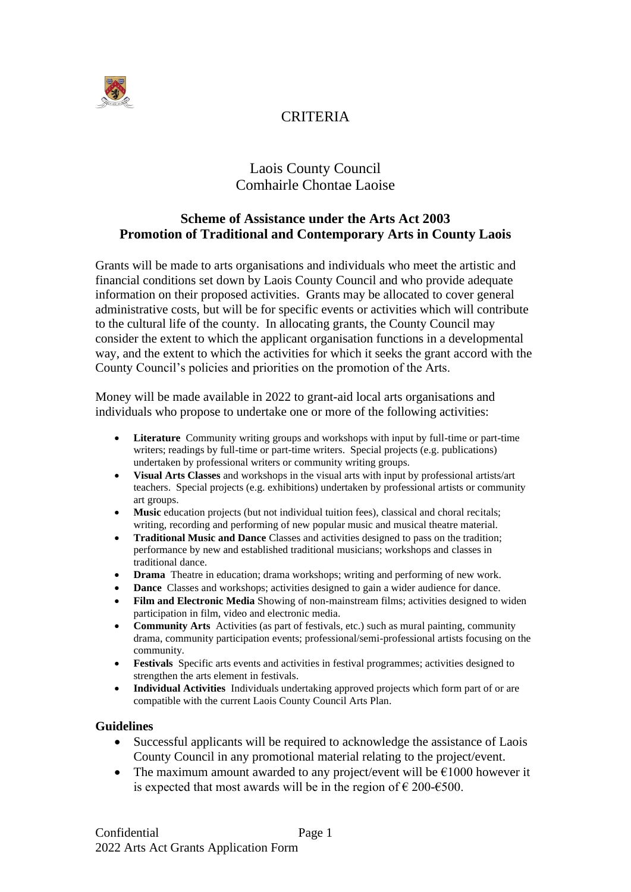

# **CRITERIA**

# Laois County Council Comhairle Chontae Laoise

# **Scheme of Assistance under the Arts Act 2003 Promotion of Traditional and Contemporary Arts in County Laois**

Grants will be made to arts organisations and individuals who meet the artistic and financial conditions set down by Laois County Council and who provide adequate information on their proposed activities. Grants may be allocated to cover general administrative costs, but will be for specific events or activities which will contribute to the cultural life of the county. In allocating grants, the County Council may consider the extent to which the applicant organisation functions in a developmental way, and the extent to which the activities for which it seeks the grant accord with the County Council's policies and priorities on the promotion of the Arts.

Money will be made available in 2022 to grant-aid local arts organisations and individuals who propose to undertake one or more of the following activities:

- **Literature** Community writing groups and workshops with input by full-time or part-time writers; readings by full-time or part-time writers. Special projects (e.g. publications) undertaken by professional writers or community writing groups.
- **Visual Arts Classes** and workshops in the visual arts with input by professional artists/art teachers. Special projects (e.g. exhibitions) undertaken by professional artists or community art groups.
- Music education projects (but not individual tuition fees), classical and choral recitals; writing, recording and performing of new popular music and musical theatre material.
- **Traditional Music and Dance** Classes and activities designed to pass on the tradition; performance by new and established traditional musicians; workshops and classes in traditional dance.
- **Drama** Theatre in education; drama workshops; writing and performing of new work.
- **Dance** Classes and workshops; activities designed to gain a wider audience for dance.
- **Film and Electronic Media** Showing of non-mainstream films; activities designed to widen participation in film, video and electronic media.
- **Community Arts** Activities (as part of festivals, etc.) such as mural painting, community drama, community participation events; professional/semi-professional artists focusing on the community.
- **Festivals** Specific arts events and activities in festival programmes; activities designed to strengthen the arts element in festivals.
- **Individual Activities** Individuals undertaking approved projects which form part of or are compatible with the current Laois County Council Arts Plan.

### **Guidelines**

- Successful applicants will be required to acknowledge the assistance of Laois County Council in any promotional material relating to the project/event.
- The maximum amount awarded to any project/event will be  $\epsilon$ 1000 however it is expected that most awards will be in the region of  $\epsilon$  200- $\epsilon$ 500.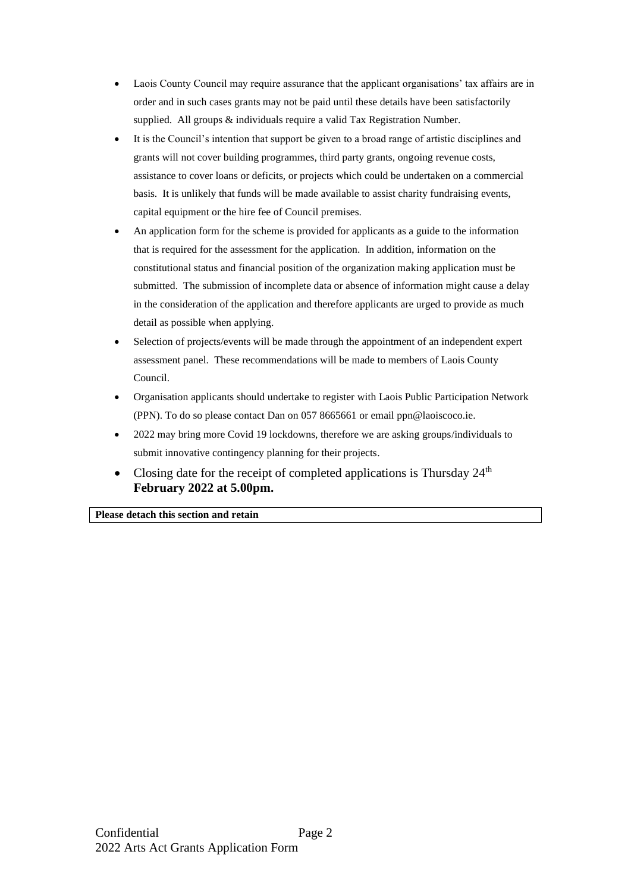- Laois County Council may require assurance that the applicant organisations' tax affairs are in order and in such cases grants may not be paid until these details have been satisfactorily supplied. All groups & individuals require a valid Tax Registration Number.
- It is the Council's intention that support be given to a broad range of artistic disciplines and grants will not cover building programmes, third party grants, ongoing revenue costs, assistance to cover loans or deficits, or projects which could be undertaken on a commercial basis. It is unlikely that funds will be made available to assist charity fundraising events, capital equipment or the hire fee of Council premises.
- An application form for the scheme is provided for applicants as a guide to the information that is required for the assessment for the application. In addition, information on the constitutional status and financial position of the organization making application must be submitted. The submission of incomplete data or absence of information might cause a delay in the consideration of the application and therefore applicants are urged to provide as much detail as possible when applying.
- Selection of projects/events will be made through the appointment of an independent expert assessment panel. These recommendations will be made to members of Laois County Council.
- Organisation applicants should undertake to register with Laois Public Participation Network (PPN). To do so please contact Dan on 057 8665661 or email ppn@laoiscoco.ie.
- 2022 may bring more Covid 19 lockdowns, therefore we are asking groups/individuals to submit innovative contingency planning for their projects.
- Closing date for the receipt of completed applications is Thursday 24<sup>th</sup> **February 2022 at 5.00pm.**

**Please detach this section and retain**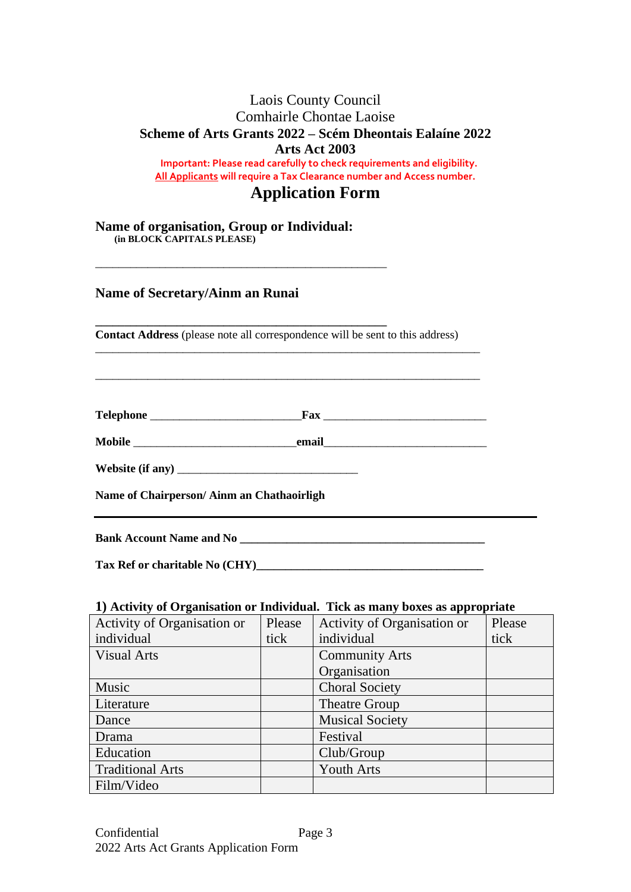## Laois County Council Comhairle Chontae Laoise **Scheme of Arts Grants 2022 – Scém Dheontais Ealaíne 2022 Arts Act 2003 Important: Please read carefully to check requirements and eligibility. All Applicants will require a Tax Clearance number and Access number.**

# **Application Form**

**Name of organisation, Group or Individual: (in BLOCK CAPITALS PLEASE)**

\_\_\_\_\_\_\_\_\_\_\_\_\_\_\_\_\_\_\_\_\_\_\_\_\_\_\_\_\_\_\_\_\_\_\_\_\_\_\_\_\_\_\_\_\_\_\_\_\_\_

## **Name of Secretary/Ainm an Runai**

**\_\_\_\_\_\_\_\_\_\_\_\_\_\_\_\_\_\_\_\_\_\_\_\_\_\_\_\_\_\_\_\_\_\_\_\_\_\_\_\_\_\_\_\_\_\_\_\_\_\_ Contact Address** (please note all correspondence will be sent to this address)

\_\_\_\_\_\_\_\_\_\_\_\_\_\_\_\_\_\_\_\_\_\_\_\_\_\_\_\_\_\_\_\_\_\_\_\_\_\_\_\_\_\_\_\_\_\_\_\_\_\_\_\_\_\_\_\_\_\_\_\_\_\_\_\_\_\_

\_\_\_\_\_\_\_\_\_\_\_\_\_\_\_\_\_\_\_\_\_\_\_\_\_\_\_\_\_\_\_\_\_\_\_\_\_\_\_\_\_\_\_\_\_\_\_\_\_\_\_\_\_\_\_\_\_\_\_\_\_\_\_\_\_\_

**Telephone** \_\_\_\_\_\_\_\_\_\_\_\_\_\_\_\_\_\_\_\_\_\_\_\_\_\_**Fax** \_\_\_\_\_\_\_\_\_\_\_\_\_\_\_\_\_\_\_\_\_\_\_\_\_\_\_\_

**Mobile** \_\_\_\_\_\_\_\_\_\_\_\_\_\_\_\_\_\_\_\_\_\_\_\_\_\_\_\_**email**\_\_\_\_\_\_\_\_\_\_\_\_\_\_\_\_\_\_\_\_\_\_\_\_\_\_\_\_

**Website (if any)** \_\_\_\_\_\_\_\_\_\_\_\_\_\_\_\_\_\_\_\_\_\_\_\_\_\_\_\_\_\_\_

**Name of Chairperson/ Ainm an Chathaoirligh**

**Bank Account Name and No** 

Tax Ref or charitable No (CHY)

### **1) Activity of Organisation or Individual. Tick as many boxes as appropriate**

| Activity of Organisation or | Please | Activity of Organisation or | Please |
|-----------------------------|--------|-----------------------------|--------|
| individual                  | tick   | individual                  | tick   |
| <b>Visual Arts</b>          |        | <b>Community Arts</b>       |        |
|                             |        | Organisation                |        |
| Music                       |        | <b>Choral Society</b>       |        |
| Literature                  |        | <b>Theatre Group</b>        |        |
| Dance                       |        | <b>Musical Society</b>      |        |
| Drama                       |        | Festival                    |        |
| Education                   |        | Club/Group                  |        |
| <b>Traditional Arts</b>     |        | <b>Youth Arts</b>           |        |
| Film/Video                  |        |                             |        |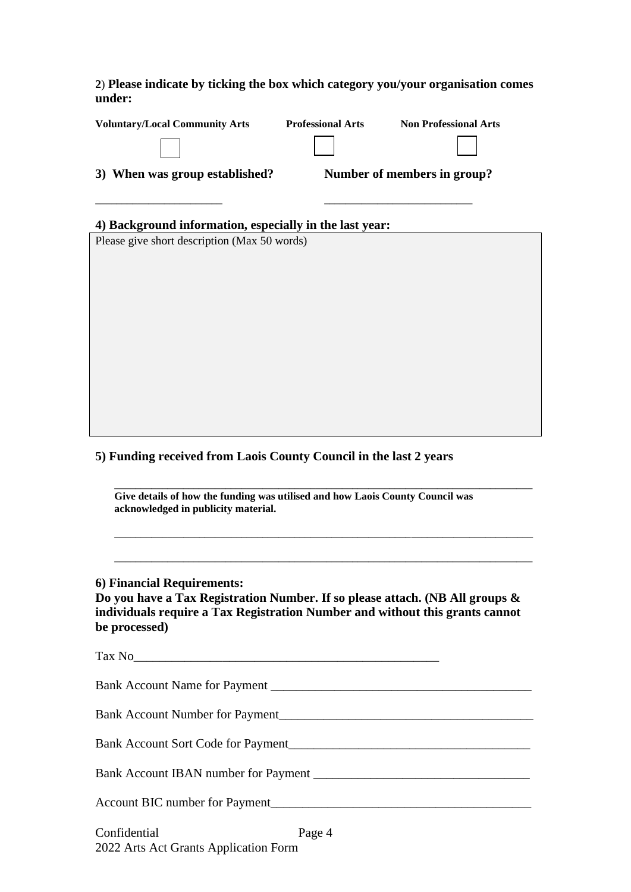### **2**) **Please indicate by ticking the box which category you/your organisation comes under:**

| <b>Voluntary/Local Community Arts</b>                                                                                | <b>Professional Arts</b> | <b>Non Professional Arts</b> |  |
|----------------------------------------------------------------------------------------------------------------------|--------------------------|------------------------------|--|
|                                                                                                                      |                          |                              |  |
| 3) When was group established?                                                                                       |                          | Number of members in group?  |  |
|                                                                                                                      |                          |                              |  |
| 4) Background information, especially in the last year:                                                              |                          |                              |  |
| Please give short description (Max 50 words)                                                                         |                          |                              |  |
|                                                                                                                      |                          |                              |  |
|                                                                                                                      |                          |                              |  |
|                                                                                                                      |                          |                              |  |
|                                                                                                                      |                          |                              |  |
|                                                                                                                      |                          |                              |  |
|                                                                                                                      |                          |                              |  |
|                                                                                                                      |                          |                              |  |
|                                                                                                                      |                          |                              |  |
|                                                                                                                      |                          |                              |  |
|                                                                                                                      |                          |                              |  |
| 5) Funding received from Laois County Council in the last 2 years                                                    |                          |                              |  |
|                                                                                                                      |                          |                              |  |
| Give details of how the funding was utilised and how Laois County Council was<br>acknowledged in publicity material. |                          |                              |  |
|                                                                                                                      |                          |                              |  |
|                                                                                                                      |                          |                              |  |
|                                                                                                                      |                          |                              |  |

## **6) Financial Requirements:**

**Do you have a Tax Registration Number. If so please attach. (NB All groups & individuals require a Tax Registration Number and without this grants cannot be processed)**

| Tax No |
|--------|
|        |
|        |
|        |
|        |
|        |
|        |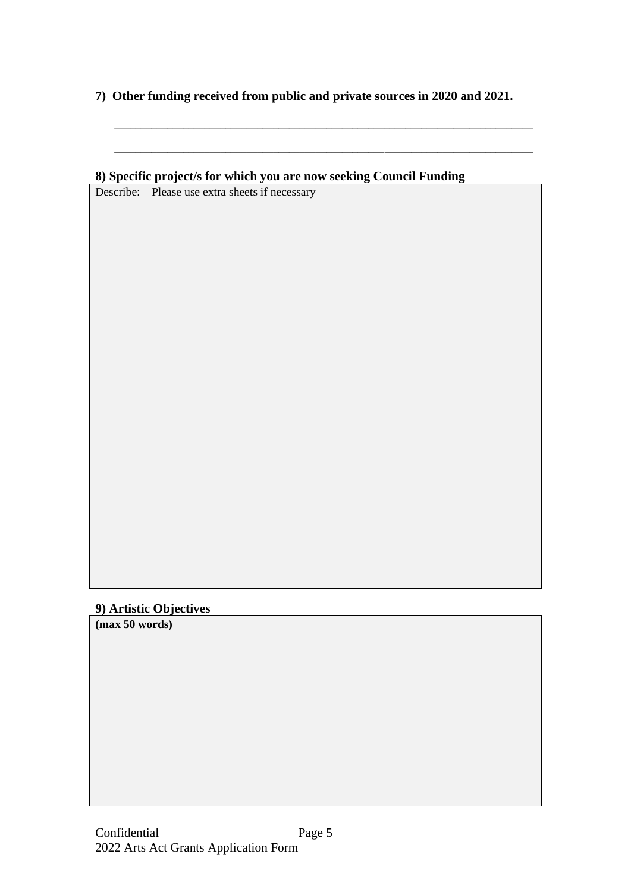**7) Other funding received from public and private sources in 2020 and 2021.**

\_\_\_\_\_\_\_\_\_\_\_\_\_\_\_\_\_\_\_\_\_\_\_\_\_\_\_\_\_\_\_\_\_\_\_\_\_\_\_\_\_\_\_\_\_\_\_\_\_\_\_\_\_\_\_\_\_\_\_\_\_\_\_\_\_\_\_\_\_\_\_\_\_\_\_\_\_\_\_

# **9) Artistic Objectives**

**(max 50 words)**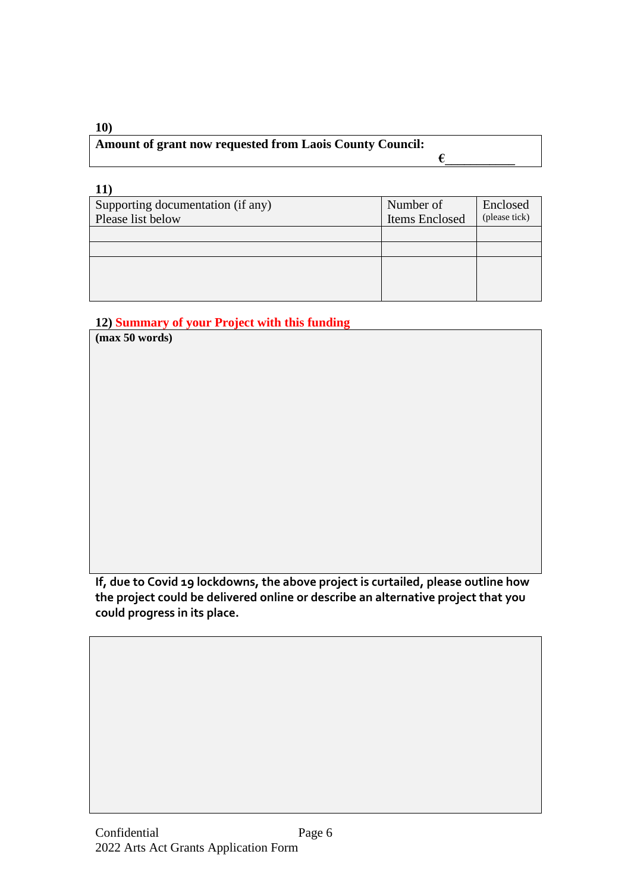| 10)                                                             |  |
|-----------------------------------------------------------------|--|
| <b>Amount of grant now requested from Laois County Council:</b> |  |
|                                                                 |  |

| Supporting documentation (if any) | Number of      | Enclosed      |
|-----------------------------------|----------------|---------------|
| Please list below                 | Items Enclosed | (please tick) |
|                                   |                |               |
|                                   |                |               |
|                                   |                |               |
|                                   |                |               |
|                                   |                |               |

# **12) Summary of your Project with this funding**

**(max 50 words) If, due to Covid 19 lockdowns, the above project is curtailed, please outline how** 

**the project could be delivered online or describe an alternative project that you could progress in its place.**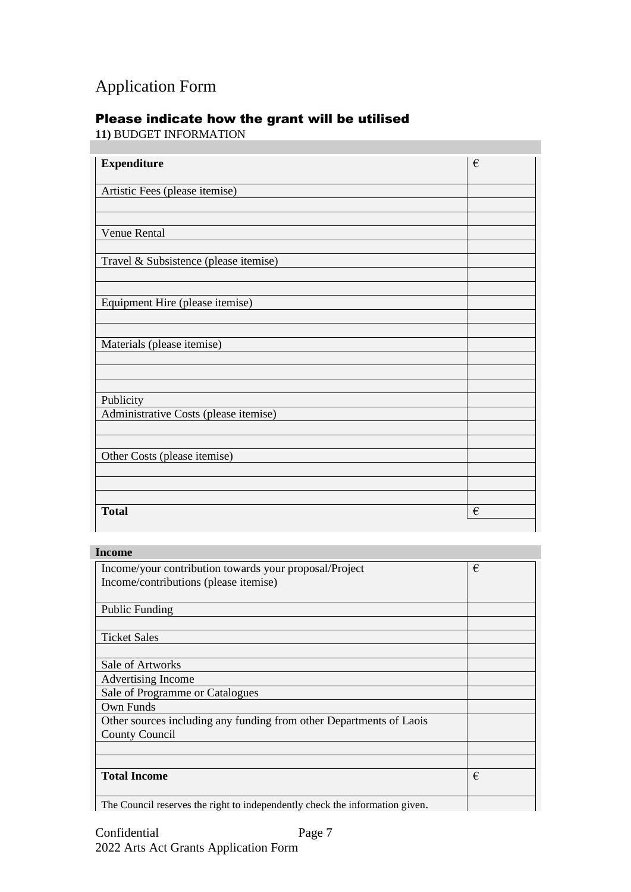# Application Form

# Please indicate how the grant will be utilised

**11)** BUDGET INFORMATION

| <b>Expenditure</b>                    | € |
|---------------------------------------|---|
| Artistic Fees (please itemise)        |   |
|                                       |   |
|                                       |   |
| Venue Rental                          |   |
| Travel & Subsistence (please itemise) |   |
|                                       |   |
|                                       |   |
| Equipment Hire (please itemise)       |   |
|                                       |   |
| Materials (please itemise)            |   |
|                                       |   |
|                                       |   |
|                                       |   |
| Publicity                             |   |
| Administrative Costs (please itemise) |   |
|                                       |   |
| Other Costs (please itemise)          |   |
|                                       |   |
|                                       |   |
|                                       |   |
| <b>Total</b>                          | € |

## **Income**

| Income/your contribution towards your proposal/Project                       | € |
|------------------------------------------------------------------------------|---|
| Income/contributions (please itemise)                                        |   |
|                                                                              |   |
|                                                                              |   |
| <b>Public Funding</b>                                                        |   |
|                                                                              |   |
| <b>Ticket Sales</b>                                                          |   |
|                                                                              |   |
| Sale of Artworks                                                             |   |
| Advertising Income                                                           |   |
| Sale of Programme or Catalogues                                              |   |
| Own Funds                                                                    |   |
| Other sources including any funding from other Departments of Laois          |   |
| <b>County Council</b>                                                        |   |
|                                                                              |   |
|                                                                              |   |
| <b>Total Income</b>                                                          | € |
|                                                                              |   |
| The Council reserves the right to independently check the information given. |   |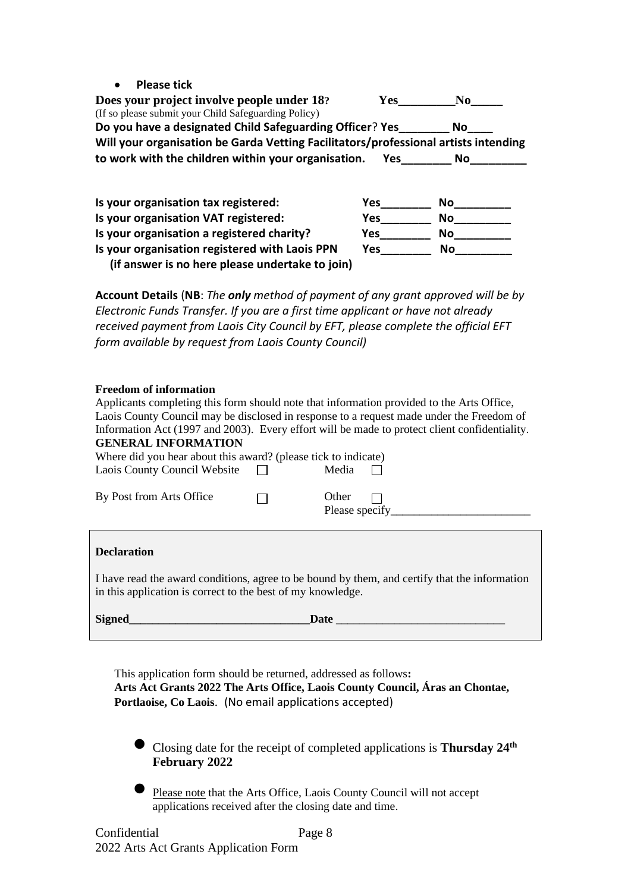• **Please tick** 

**Does your project involve people under 18? Yes\_\_\_\_\_\_\_\_\_No\_\_\_\_\_** (If so please submit your Child Safeguarding Policy) **Do you have a designated Child Safeguarding Officer**? **Yes\_\_\_\_\_\_\_\_ No\_\_\_\_ Will your organisation be Garda Vetting Facilitators/professional artists intending to work with the children within your organisation. Yes\_\_\_\_\_\_\_\_ No\_\_\_\_\_\_\_\_\_**

| Is your organisation tax registered:            | Yes | No |
|-------------------------------------------------|-----|----|
| Is your organisation VAT registered:            | Yes | No |
| Is your organisation a registered charity?      | Yes | No |
| Is your organisation registered with Laois PPN  | Yes | Nο |
| (if answer is no here please undertake to join) |     |    |

**Account Details** (**NB**: *The only method of payment of any grant approved will be by Electronic Funds Transfer. If you are a first time applicant or have not already received payment from Laois City Council by EFT, please complete the official EFT form available by request from Laois County Council)*

#### **Freedom of information**

| Applicants completing this form should note that information provided to the Arts Office,<br><b>GENERAL INFORMATION</b><br>Where did you hear about this award? (please tick to indicate) |  |             | Laois County Council may be disclosed in response to a request made under the Freedom of<br>Information Act (1997 and 2003). Every effort will be made to protect client confidentiality. |
|-------------------------------------------------------------------------------------------------------------------------------------------------------------------------------------------|--|-------------|-------------------------------------------------------------------------------------------------------------------------------------------------------------------------------------------|
|                                                                                                                                                                                           |  |             |                                                                                                                                                                                           |
| Laois County Council Website $\Box$                                                                                                                                                       |  | Media       |                                                                                                                                                                                           |
| By Post from Arts Office                                                                                                                                                                  |  | Other       |                                                                                                                                                                                           |
| <b>Declaration</b>                                                                                                                                                                        |  |             |                                                                                                                                                                                           |
| I have read the award conditions, agree to be bound by them, and certify that the information<br>in this application is correct to the best of my knowledge.                              |  |             |                                                                                                                                                                                           |
| Signed                                                                                                                                                                                    |  | <b>Date</b> | the control of the control of the control of the control of                                                                                                                               |

This application form should be returned, addressed as follows**: Arts Act Grants 2022 The Arts Office, Laois County Council, Áras an Chontae, Portlaoise, Co Laois**. (No email applications accepted)

• Closing date for the receipt of completed applications is **Thursday 24 th February 2022**

• Please note that the Arts Office, Laois County Council will not accept applications received after the closing date and time.